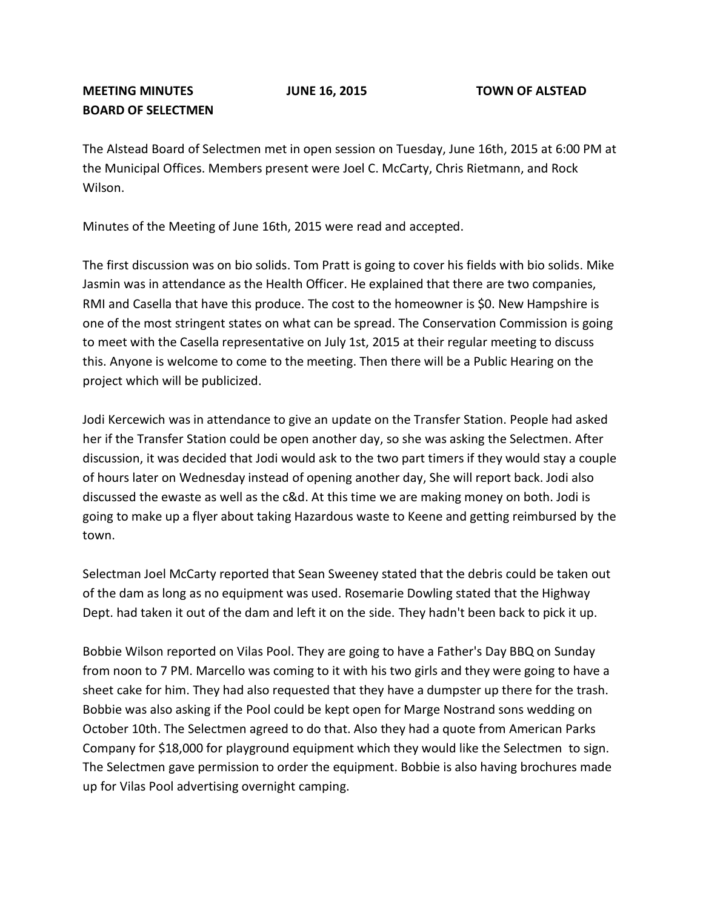The Alstead Board of Selectmen met in open session on Tuesday, June 16th, 2015 at 6:00 PM at the Municipal Offices. Members present were Joel C. McCarty, Chris Rietmann, and Rock Wilson.

Minutes of the Meeting of June 16th, 2015 were read and accepted.

The first discussion was on bio solids. Tom Pratt is going to cover his fields with bio solids. Mike Jasmin was in attendance as the Health Officer. He explained that there are two companies, RMI and Casella that have this produce. The cost to the homeowner is \$0. New Hampshire is one of the most stringent states on what can be spread. The Conservation Commission is going to meet with the Casella representative on July 1st, 2015 at their regular meeting to discuss this. Anyone is welcome to come to the meeting. Then there will be a Public Hearing on the project which will be publicized.

Jodi Kercewich was in attendance to give an update on the Transfer Station. People had asked her if the Transfer Station could be open another day, so she was asking the Selectmen. After discussion, it was decided that Jodi would ask to the two part timers if they would stay a couple of hours later on Wednesday instead of opening another day, She will report back. Jodi also discussed the ewaste as well as the c&d. At this time we are making money on both. Jodi is going to make up a flyer about taking Hazardous waste to Keene and getting reimbursed by the town.

Selectman Joel McCarty reported that Sean Sweeney stated that the debris could be taken out of the dam as long as no equipment was used. Rosemarie Dowling stated that the Highway Dept. had taken it out of the dam and left it on the side. They hadn't been back to pick it up.

Bobbie Wilson reported on Vilas Pool. They are going to have a Father's Day BBQ on Sunday from noon to 7 PM. Marcello was coming to it with his two girls and they were going to have a sheet cake for him. They had also requested that they have a dumpster up there for the trash. Bobbie was also asking if the Pool could be kept open for Marge Nostrand sons wedding on October 10th. The Selectmen agreed to do that. Also they had a quote from American Parks Company for \$18,000 for playground equipment which they would like the Selectmen to sign. The Selectmen gave permission to order the equipment. Bobbie is also having brochures made up for Vilas Pool advertising overnight camping.